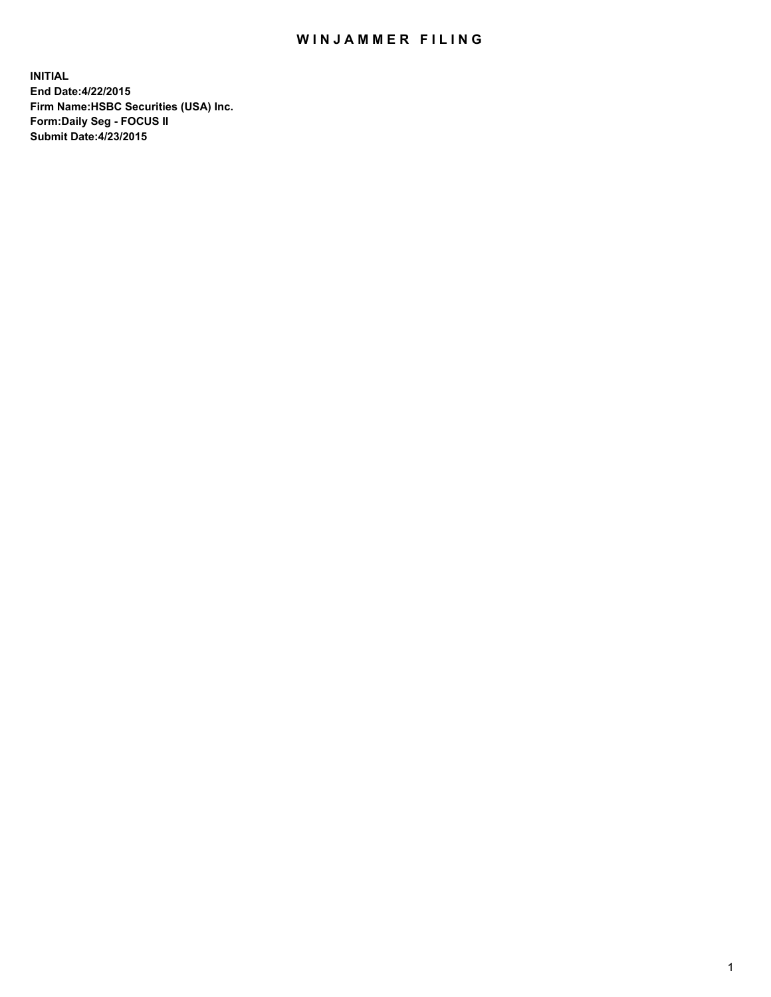## WIN JAMMER FILING

**INITIAL End Date:4/22/2015 Firm Name:HSBC Securities (USA) Inc. Form:Daily Seg - FOCUS II Submit Date:4/23/2015**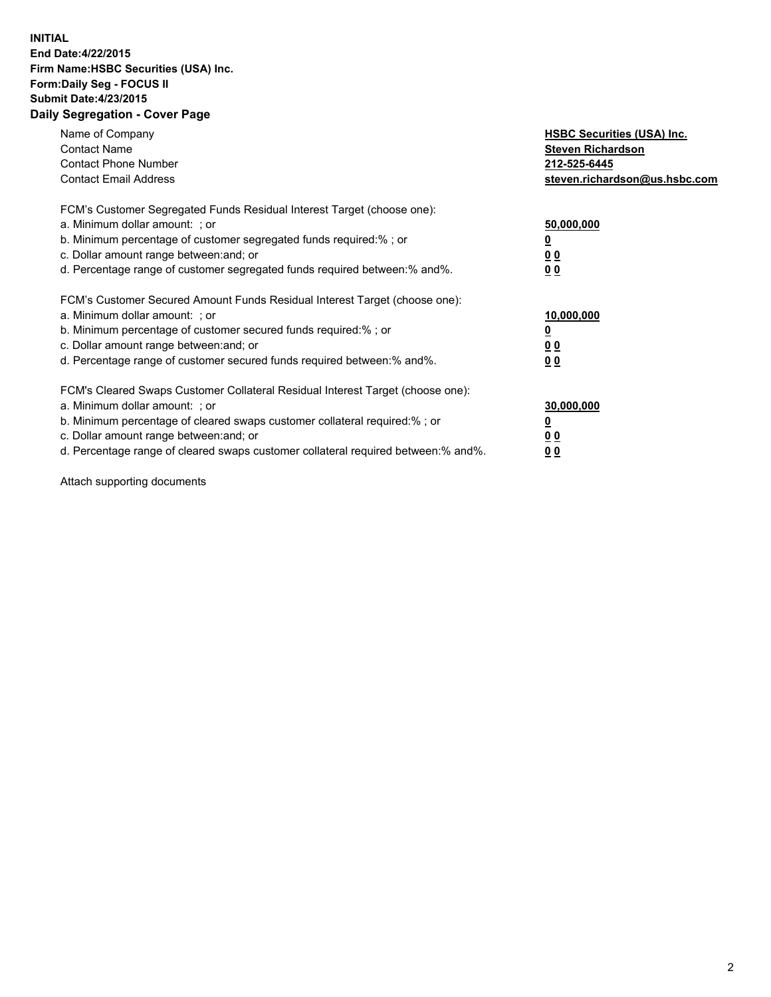## **INITIAL End Date:4/22/2015 Firm Name:HSBC Securities (USA) Inc. Form:Daily Seg - FOCUS II Submit Date:4/23/2015 Daily Segregation - Cover Page**

| Name of Company<br><b>Contact Name</b><br><b>Contact Phone Number</b><br><b>Contact Email Address</b>                                                                                                                                                                                                                          | <b>HSBC Securities (USA) Inc.</b><br><b>Steven Richardson</b><br>212-525-6445<br>steven.richardson@us.hsbc.com |
|--------------------------------------------------------------------------------------------------------------------------------------------------------------------------------------------------------------------------------------------------------------------------------------------------------------------------------|----------------------------------------------------------------------------------------------------------------|
| FCM's Customer Segregated Funds Residual Interest Target (choose one):<br>a. Minimum dollar amount: ; or<br>b. Minimum percentage of customer segregated funds required:%; or<br>c. Dollar amount range between: and; or<br>d. Percentage range of customer segregated funds required between: % and %.                        | 50,000,000<br>0 <sub>0</sub><br>0 <sub>0</sub>                                                                 |
| FCM's Customer Secured Amount Funds Residual Interest Target (choose one):<br>a. Minimum dollar amount: ; or<br>b. Minimum percentage of customer secured funds required:%; or<br>c. Dollar amount range between: and; or<br>d. Percentage range of customer secured funds required between:% and%.                            | 10,000,000<br><u>0</u><br>0 <sub>0</sub><br>0 <sub>0</sub>                                                     |
| FCM's Cleared Swaps Customer Collateral Residual Interest Target (choose one):<br>a. Minimum dollar amount: ; or<br>b. Minimum percentage of cleared swaps customer collateral required:% ; or<br>c. Dollar amount range between: and; or<br>d. Percentage range of cleared swaps customer collateral required between:% and%. | 30,000,000<br>00<br><u>00</u>                                                                                  |

Attach supporting documents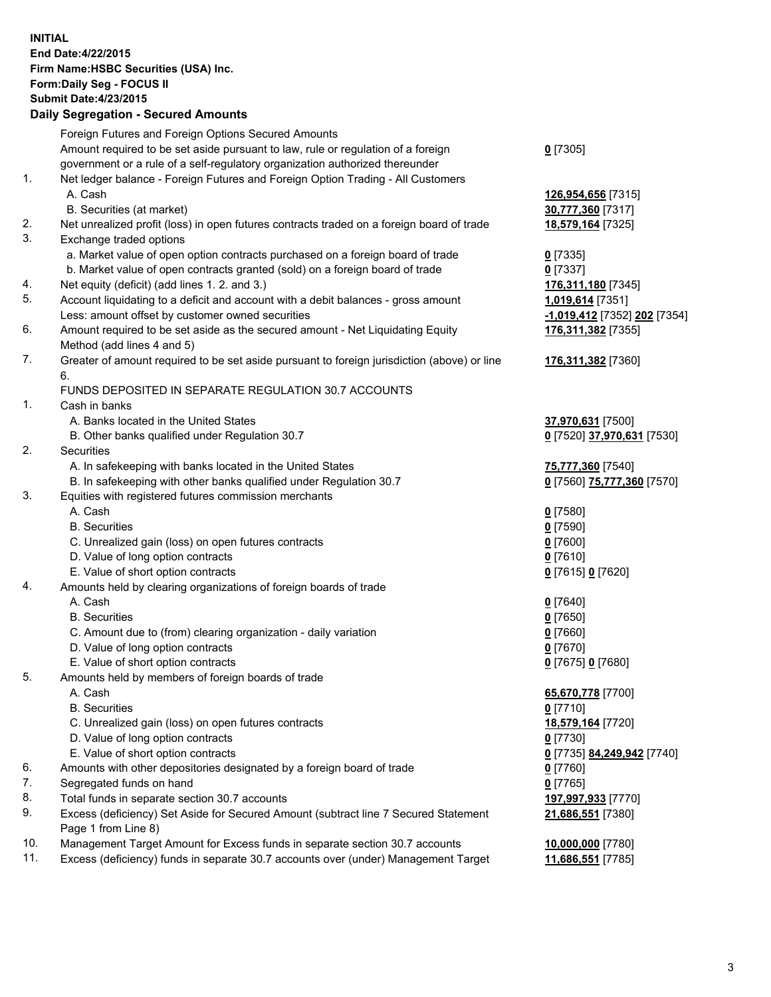**INITIAL End Date:4/22/2015 Firm Name:HSBC Securities (USA) Inc. Form:Daily Seg - FOCUS II Submit Date:4/23/2015 Daily Segregation - Secured Amounts**

Foreign Futures and Foreign Options Secured Amounts Amount required to be set aside pursuant to law, rule or regulation of a foreign government or a rule of a self-regulatory organization authorized thereunder **0** [7305] 1. Net ledger balance - Foreign Futures and Foreign Option Trading - All Customers A. Cash **126,954,656** [7315] B. Securities (at market) **30,777,360** [7317] 2. Net unrealized profit (loss) in open futures contracts traded on a foreign board of trade **18,579,164** [7325] 3. Exchange traded options a. Market value of open option contracts purchased on a foreign board of trade **0** [7335] b. Market value of open contracts granted (sold) on a foreign board of trade **0** [7337] 4. Net equity (deficit) (add lines 1. 2. and 3.) **176,311,180** [7345] 5. Account liquidating to a deficit and account with a debit balances - gross amount **1,019,614** [7351] Less: amount offset by customer owned securities **-1,019,412** [7352] **202** [7354] 6. Amount required to be set aside as the secured amount - Net Liquidating Equity Method (add lines 4 and 5) **176,311,382** [7355] 7. Greater of amount required to be set aside pursuant to foreign jurisdiction (above) or line 6. **176,311,382** [7360] FUNDS DEPOSITED IN SEPARATE REGULATION 30.7 ACCOUNTS 1. Cash in banks A. Banks located in the United States **37,970,631** [7500] B. Other banks qualified under Regulation 30.7 **0** [7520] **37,970,631** [7530] 2. Securities A. In safekeeping with banks located in the United States **75,777,360** [7540] B. In safekeeping with other banks qualified under Regulation 30.7 **0** [7560] **75,777,360** [7570] 3. Equities with registered futures commission merchants A. Cash **0** [7580] B. Securities **0** [7590] C. Unrealized gain (loss) on open futures contracts **0** [7600] D. Value of long option contracts **0** [7610] E. Value of short option contracts **0** [7615] **0** [7620] 4. Amounts held by clearing organizations of foreign boards of trade A. Cash **0** [7640] B. Securities **0** [7650] C. Amount due to (from) clearing organization - daily variation **0** [7660] D. Value of long option contracts **0** [7670] E. Value of short option contracts **0** [7675] **0** [7680] 5. Amounts held by members of foreign boards of trade A. Cash **65,670,778** [7700] B. Securities **0** [7710] C. Unrealized gain (loss) on open futures contracts **18,579,164** [7720] D. Value of long option contracts **0** [7730] E. Value of short option contracts **0** [7735] **84,249,942** [7740] 6. Amounts with other depositories designated by a foreign board of trade **0** [7760] 7. Segregated funds on hand **0** [7765] 8. Total funds in separate section 30.7 accounts **197,997,933** [7770] 9. Excess (deficiency) Set Aside for Secured Amount (subtract line 7 Secured Statement Page 1 from Line 8) **21,686,551** [7380] 10. Management Target Amount for Excess funds in separate section 30.7 accounts **10,000,000** [7780] 11. Excess (deficiency) funds in separate 30.7 accounts over (under) Management Target **11,686,551** [7785]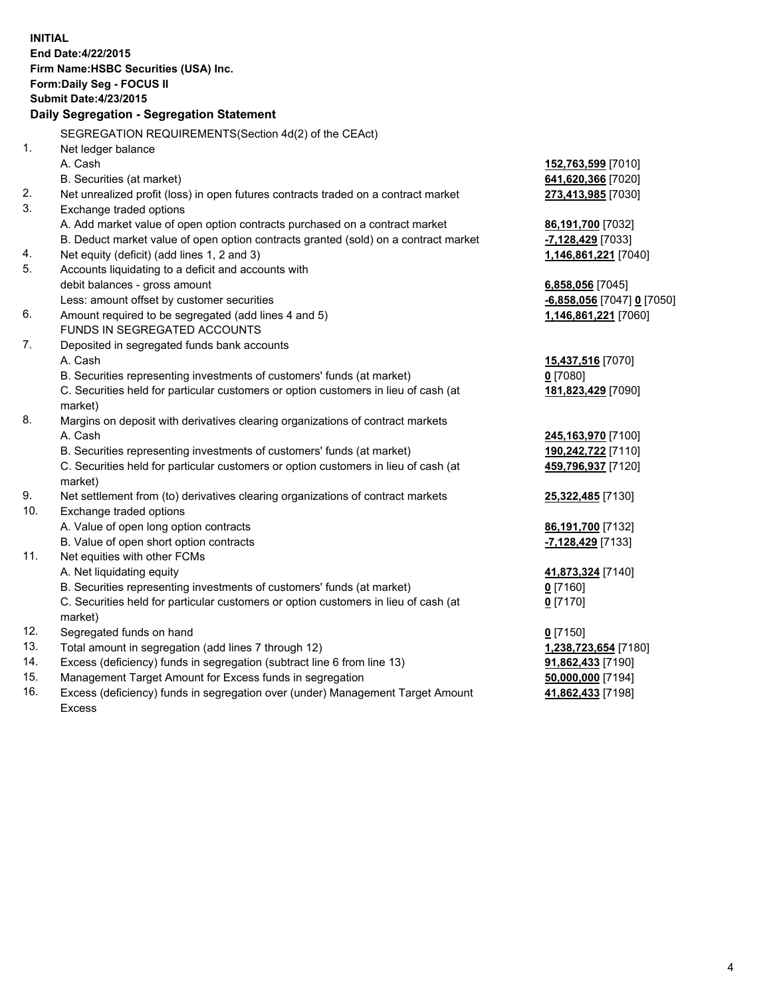| <b>INITIAL</b> | End Date: 4/22/2015<br>Firm Name: HSBC Securities (USA) Inc.<br>Form: Daily Seg - FOCUS II<br><b>Submit Date: 4/23/2015</b><br><b>Daily Segregation - Segregation Statement</b><br>SEGREGATION REQUIREMENTS(Section 4d(2) of the CEAct) |                            |
|----------------|-----------------------------------------------------------------------------------------------------------------------------------------------------------------------------------------------------------------------------------------|----------------------------|
| 1.             | Net ledger balance                                                                                                                                                                                                                      |                            |
|                | A. Cash                                                                                                                                                                                                                                 | 152,763,599 [7010]         |
|                | B. Securities (at market)                                                                                                                                                                                                               | 641,620,366 [7020]         |
| 2.             | Net unrealized profit (loss) in open futures contracts traded on a contract market                                                                                                                                                      | 273,413,985 [7030]         |
| 3.             | Exchange traded options                                                                                                                                                                                                                 |                            |
|                | A. Add market value of open option contracts purchased on a contract market                                                                                                                                                             | 86,191,700 [7032]          |
|                | B. Deduct market value of open option contracts granted (sold) on a contract market                                                                                                                                                     | -7,128,429 [7033]          |
| 4.             | Net equity (deficit) (add lines 1, 2 and 3)                                                                                                                                                                                             | 1,146,861,221 [7040]       |
| 5.             | Accounts liquidating to a deficit and accounts with                                                                                                                                                                                     |                            |
|                | debit balances - gross amount                                                                                                                                                                                                           | 6,858,056 [7045]           |
|                | Less: amount offset by customer securities                                                                                                                                                                                              | -6,858,056 [7047] 0 [7050] |
| 6.             | Amount required to be segregated (add lines 4 and 5)                                                                                                                                                                                    | 1,146,861,221 [7060]       |
|                | FUNDS IN SEGREGATED ACCOUNTS                                                                                                                                                                                                            |                            |
| 7.             | Deposited in segregated funds bank accounts                                                                                                                                                                                             |                            |
|                | A. Cash                                                                                                                                                                                                                                 | 15,437,516 [7070]          |
|                | B. Securities representing investments of customers' funds (at market)                                                                                                                                                                  | $0$ [7080]                 |
|                | C. Securities held for particular customers or option customers in lieu of cash (at<br>market)                                                                                                                                          | 181,823,429 [7090]         |
| 8.             | Margins on deposit with derivatives clearing organizations of contract markets                                                                                                                                                          |                            |
|                | A. Cash                                                                                                                                                                                                                                 | 245,163,970 [7100]         |
|                | B. Securities representing investments of customers' funds (at market)                                                                                                                                                                  | 190,242,722 [7110]         |
|                | C. Securities held for particular customers or option customers in lieu of cash (at<br>market)                                                                                                                                          | 459,796,937 [7120]         |
| 9.             | Net settlement from (to) derivatives clearing organizations of contract markets                                                                                                                                                         | 25,322,485 [7130]          |
| 10.            | Exchange traded options                                                                                                                                                                                                                 |                            |
|                | A. Value of open long option contracts                                                                                                                                                                                                  | 86,191,700 [7132]          |
|                | B. Value of open short option contracts                                                                                                                                                                                                 | -7,128,429 [7133]          |
| 11.            | Net equities with other FCMs                                                                                                                                                                                                            |                            |
|                | A. Net liquidating equity                                                                                                                                                                                                               | 41,873,324 [7140]          |
|                | B. Securities representing investments of customers' funds (at market)                                                                                                                                                                  | $0$ [7160]                 |
|                | C. Securities held for particular customers or option customers in lieu of cash (at                                                                                                                                                     | $0$ [7170]                 |
|                | market)                                                                                                                                                                                                                                 |                            |
| 12.            | Segregated funds on hand                                                                                                                                                                                                                | $0$ [7150]                 |
| 13.            | Total amount in segregation (add lines 7 through 12)                                                                                                                                                                                    | 1,238,723,654 [7180]       |
| 14.            | Excess (deficiency) funds in segregation (subtract line 6 from line 13)                                                                                                                                                                 | 91,862,433 [7190]          |
| 15.            | Management Target Amount for Excess funds in segregation                                                                                                                                                                                | 50,000,000 [7194]          |
| 16.            | Excess (deficiency) funds in segregation over (under) Management Target Amount<br>Excess                                                                                                                                                | 41,862,433 [7198]          |